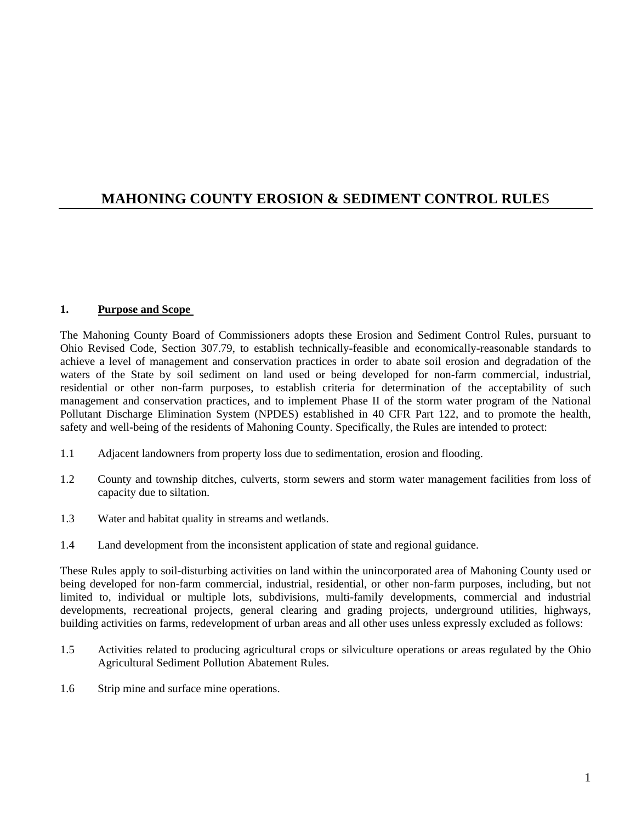# **MAHONING COUNTY EROSION & SEDIMENT CONTROL RULE**S

#### **1. Purpose and Scope**

The Mahoning County Board of Commissioners adopts these Erosion and Sediment Control Rules, pursuant to Ohio Revised Code, Section 307.79, to establish technically-feasible and economically-reasonable standards to achieve a level of management and conservation practices in order to abate soil erosion and degradation of the waters of the State by soil sediment on land used or being developed for non-farm commercial, industrial, residential or other non-farm purposes, to establish criteria for determination of the acceptability of such management and conservation practices, and to implement Phase II of the storm water program of the National Pollutant Discharge Elimination System (NPDES) established in 40 CFR Part 122, and to promote the health, safety and well-being of the residents of Mahoning County. Specifically, the Rules are intended to protect:

- 1.1 Adjacent landowners from property loss due to sedimentation, erosion and flooding.
- 1.2 County and township ditches, culverts, storm sewers and storm water management facilities from loss of capacity due to siltation.
- 1.3 Water and habitat quality in streams and wetlands.
- 1.4 Land development from the inconsistent application of state and regional guidance.

These Rules apply to soil-disturbing activities on land within the unincorporated area of Mahoning County used or being developed for non-farm commercial, industrial, residential, or other non-farm purposes, including, but not limited to, individual or multiple lots, subdivisions, multi-family developments, commercial and industrial developments, recreational projects, general clearing and grading projects, underground utilities, highways, building activities on farms, redevelopment of urban areas and all other uses unless expressly excluded as follows:

- 1.5 Activities related to producing agricultural crops or silviculture operations or areas regulated by the Ohio Agricultural Sediment Pollution Abatement Rules.
- 1.6 Strip mine and surface mine operations.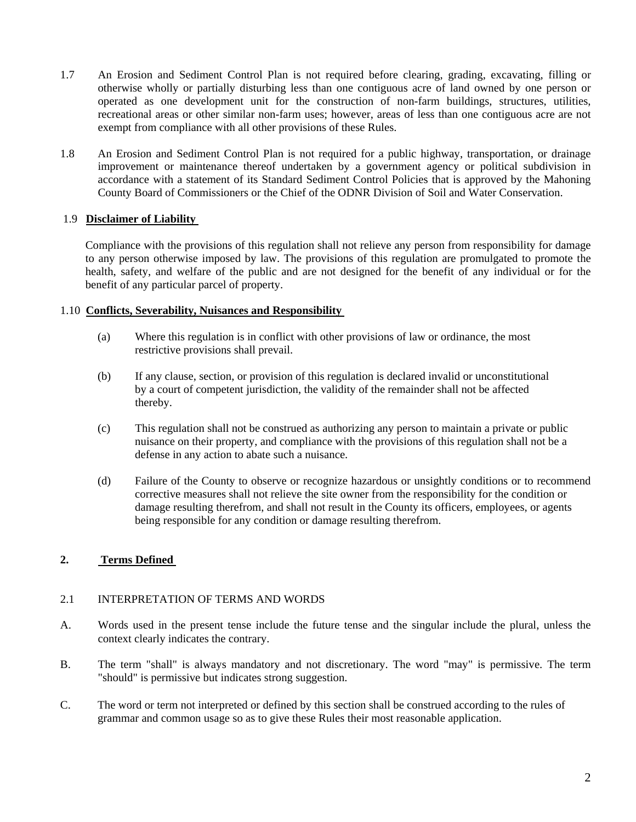- 1.7 An Erosion and Sediment Control Plan is not required before clearing, grading, excavating, filling or otherwise wholly or partially disturbing less than one contiguous acre of land owned by one person or operated as one development unit for the construction of non-farm buildings, structures, utilities, recreational areas or other similar non-farm uses; however, areas of less than one contiguous acre are not exempt from compliance with all other provisions of these Rules.
- 1.8 An Erosion and Sediment Control Plan is not required for a public highway, transportation, or drainage improvement or maintenance thereof undertaken by a government agency or political subdivision in accordance with a statement of its Standard Sediment Control Policies that is approved by the Mahoning County Board of Commissioners or the Chief of the ODNR Division of Soil and Water Conservation.

## 1.9 **Disclaimer of Liability**

Compliance with the provisions of this regulation shall not relieve any person from responsibility for damage to any person otherwise imposed by law. The provisions of this regulation are promulgated to promote the health, safety, and welfare of the public and are not designed for the benefit of any individual or for the benefit of any particular parcel of property.

#### 1.10 **Conflicts, Severability, Nuisances and Responsibility**

- (a) Where this regulation is in conflict with other provisions of law or ordinance, the most restrictive provisions shall prevail.
- (b) If any clause, section, or provision of this regulation is declared invalid or unconstitutional by a court of competent jurisdiction, the validity of the remainder shall not be affected thereby.
- (c) This regulation shall not be construed as authorizing any person to maintain a private or public nuisance on their property, and compliance with the provisions of this regulation shall not be a defense in any action to abate such a nuisance.
- (d) Failure of the County to observe or recognize hazardous or unsightly conditions or to recommend corrective measures shall not relieve the site owner from the responsibility for the condition or damage resulting therefrom, and shall not result in the County its officers, employees, or agents being responsible for any condition or damage resulting therefrom.

## **2. Terms Defined**

## 2.1 INTERPRETATION OF TERMS AND WORDS

- A. Words used in the present tense include the future tense and the singular include the plural, unless the context clearly indicates the contrary.
- B. The term "shall" is always mandatory and not discretionary. The word "may" is permissive. The term "should" is permissive but indicates strong suggestion.
- C. The word or term not interpreted or defined by this section shall be construed according to the rules of grammar and common usage so as to give these Rules their most reasonable application.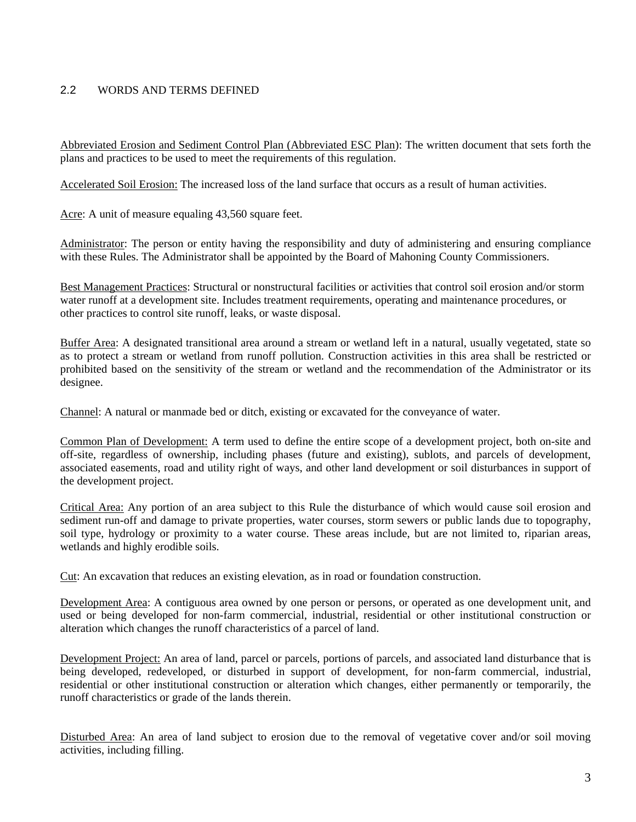## 2.2 WORDS AND TERMS DEFINED

Abbreviated Erosion and Sediment Control Plan (Abbreviated ESC Plan): The written document that sets forth the plans and practices to be used to meet the requirements of this regulation.

Accelerated Soil Erosion: The increased loss of the land surface that occurs as a result of human activities.

Acre: A unit of measure equaling 43,560 square feet.

Administrator: The person or entity having the responsibility and duty of administering and ensuring compliance with these Rules. The Administrator shall be appointed by the Board of Mahoning County Commissioners.

Best Management Practices: Structural or nonstructural facilities or activities that control soil erosion and/or storm water runoff at a development site. Includes treatment requirements, operating and maintenance procedures, or other practices to control site runoff, leaks, or waste disposal.

Buffer Area: A designated transitional area around a stream or wetland left in a natural, usually vegetated, state so as to protect a stream or wetland from runoff pollution. Construction activities in this area shall be restricted or prohibited based on the sensitivity of the stream or wetland and the recommendation of the Administrator or its designee.

Channel: A natural or manmade bed or ditch, existing or excavated for the conveyance of water.

Common Plan of Development: A term used to define the entire scope of a development project, both on-site and off-site, regardless of ownership, including phases (future and existing), sublots, and parcels of development, associated easements, road and utility right of ways, and other land development or soil disturbances in support of the development project.

Critical Area: Any portion of an area subject to this Rule the disturbance of which would cause soil erosion and sediment run-off and damage to private properties, water courses, storm sewers or public lands due to topography, soil type, hydrology or proximity to a water course. These areas include, but are not limited to, riparian areas, wetlands and highly erodible soils.

Cut: An excavation that reduces an existing elevation, as in road or foundation construction.

Development Area: A contiguous area owned by one person or persons, or operated as one development unit, and used or being developed for non-farm commercial, industrial, residential or other institutional construction or alteration which changes the runoff characteristics of a parcel of land.

Development Project: An area of land, parcel or parcels, portions of parcels, and associated land disturbance that is being developed, redeveloped, or disturbed in support of development, for non-farm commercial, industrial, residential or other institutional construction or alteration which changes, either permanently or temporarily, the runoff characteristics or grade of the lands therein.

Disturbed Area: An area of land subject to erosion due to the removal of vegetative cover and/or soil moving activities, including filling.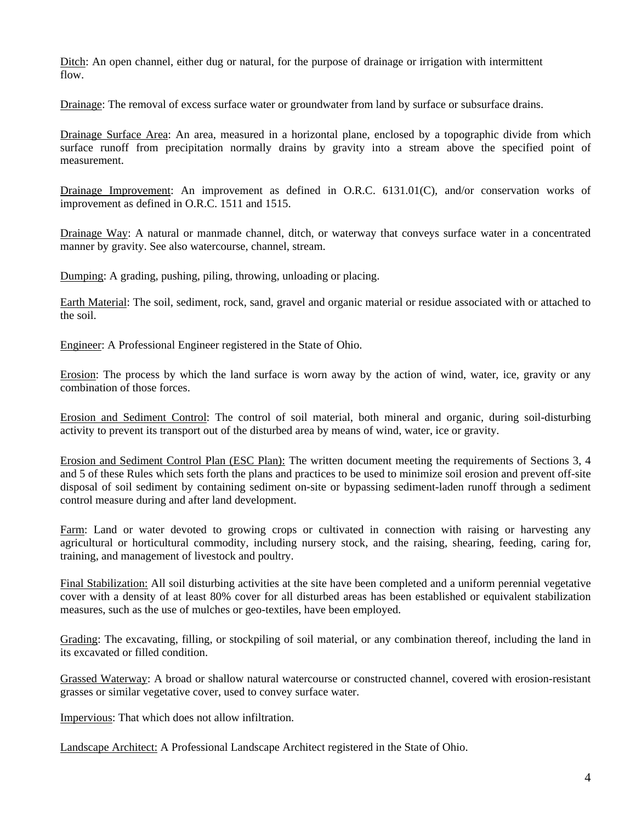Ditch: An open channel, either dug or natural, for the purpose of drainage or irrigation with intermittent flow.

Drainage: The removal of excess surface water or groundwater from land by surface or subsurface drains.

Drainage Surface Area: An area, measured in a horizontal plane, enclosed by a topographic divide from which surface runoff from precipitation normally drains by gravity into a stream above the specified point of measurement.

Drainage Improvement: An improvement as defined in O.R.C. 6131.01(C), and/or conservation works of improvement as defined in O.R.C. 1511 and 1515.

Drainage Way: A natural or manmade channel, ditch, or waterway that conveys surface water in a concentrated manner by gravity. See also watercourse, channel, stream.

Dumping: A grading, pushing, piling, throwing, unloading or placing.

Earth Material: The soil, sediment, rock, sand, gravel and organic material or residue associated with or attached to the soil.

Engineer: A Professional Engineer registered in the State of Ohio.

Erosion: The process by which the land surface is worn away by the action of wind, water, ice, gravity or any combination of those forces.

Erosion and Sediment Control: The control of soil material, both mineral and organic, during soil-disturbing activity to prevent its transport out of the disturbed area by means of wind, water, ice or gravity.

Erosion and Sediment Control Plan (ESC Plan): The written document meeting the requirements of Sections 3, 4 and 5 of these Rules which sets forth the plans and practices to be used to minimize soil erosion and prevent off-site disposal of soil sediment by containing sediment on-site or bypassing sediment-laden runoff through a sediment control measure during and after land development.

Farm: Land or water devoted to growing crops or cultivated in connection with raising or harvesting any agricultural or horticultural commodity, including nursery stock, and the raising, shearing, feeding, caring for, training, and management of livestock and poultry.

Final Stabilization: All soil disturbing activities at the site have been completed and a uniform perennial vegetative cover with a density of at least 80% cover for all disturbed areas has been established or equivalent stabilization measures, such as the use of mulches or geo-textiles, have been employed.

Grading: The excavating, filling, or stockpiling of soil material, or any combination thereof, including the land in its excavated or filled condition.

Grassed Waterway: A broad or shallow natural watercourse or constructed channel, covered with erosion-resistant grasses or similar vegetative cover, used to convey surface water.

Impervious: That which does not allow infiltration.

Landscape Architect: A Professional Landscape Architect registered in the State of Ohio.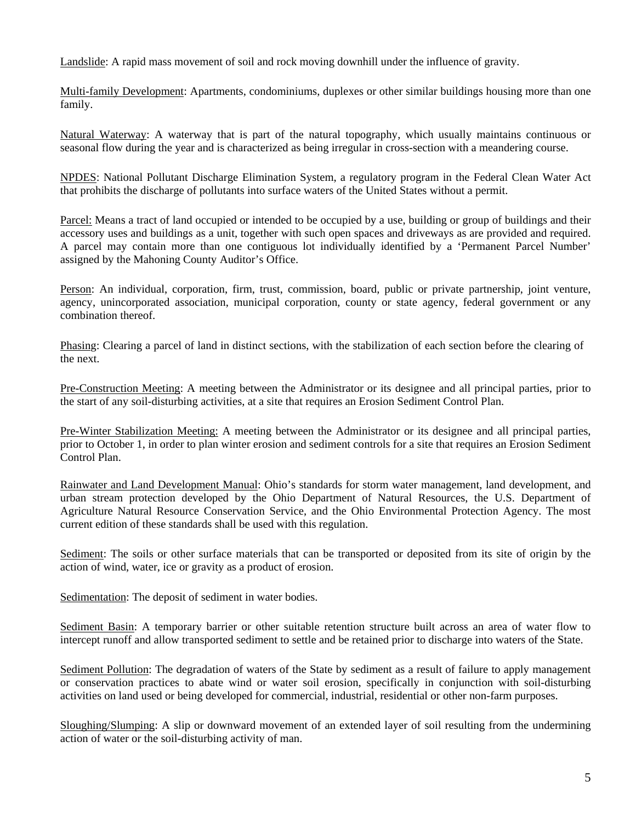Landslide: A rapid mass movement of soil and rock moving downhill under the influence of gravity.

Multi-family Development: Apartments, condominiums, duplexes or other similar buildings housing more than one family.

Natural Waterway: A waterway that is part of the natural topography, which usually maintains continuous or seasonal flow during the year and is characterized as being irregular in cross-section with a meandering course.

NPDES: National Pollutant Discharge Elimination System, a regulatory program in the Federal Clean Water Act that prohibits the discharge of pollutants into surface waters of the United States without a permit.

Parcel: Means a tract of land occupied or intended to be occupied by a use, building or group of buildings and their accessory uses and buildings as a unit, together with such open spaces and driveways as are provided and required. A parcel may contain more than one contiguous lot individually identified by a 'Permanent Parcel Number' assigned by the Mahoning County Auditor's Office.

Person: An individual, corporation, firm, trust, commission, board, public or private partnership, joint venture, agency, unincorporated association, municipal corporation, county or state agency, federal government or any combination thereof.

Phasing: Clearing a parcel of land in distinct sections, with the stabilization of each section before the clearing of the next.

Pre-Construction Meeting: A meeting between the Administrator or its designee and all principal parties, prior to the start of any soil-disturbing activities, at a site that requires an Erosion Sediment Control Plan.

Pre-Winter Stabilization Meeting: A meeting between the Administrator or its designee and all principal parties, prior to October 1, in order to plan winter erosion and sediment controls for a site that requires an Erosion Sediment Control Plan.

Rainwater and Land Development Manual: Ohio's standards for storm water management, land development, and urban stream protection developed by the Ohio Department of Natural Resources, the U.S. Department of Agriculture Natural Resource Conservation Service, and the Ohio Environmental Protection Agency. The most current edition of these standards shall be used with this regulation.

Sediment: The soils or other surface materials that can be transported or deposited from its site of origin by the action of wind, water, ice or gravity as a product of erosion.

Sedimentation: The deposit of sediment in water bodies.

Sediment Basin: A temporary barrier or other suitable retention structure built across an area of water flow to intercept runoff and allow transported sediment to settle and be retained prior to discharge into waters of the State.

Sediment Pollution: The degradation of waters of the State by sediment as a result of failure to apply management or conservation practices to abate wind or water soil erosion, specifically in conjunction with soil-disturbing activities on land used or being developed for commercial, industrial, residential or other non-farm purposes.

Sloughing/Slumping: A slip or downward movement of an extended layer of soil resulting from the undermining action of water or the soil-disturbing activity of man.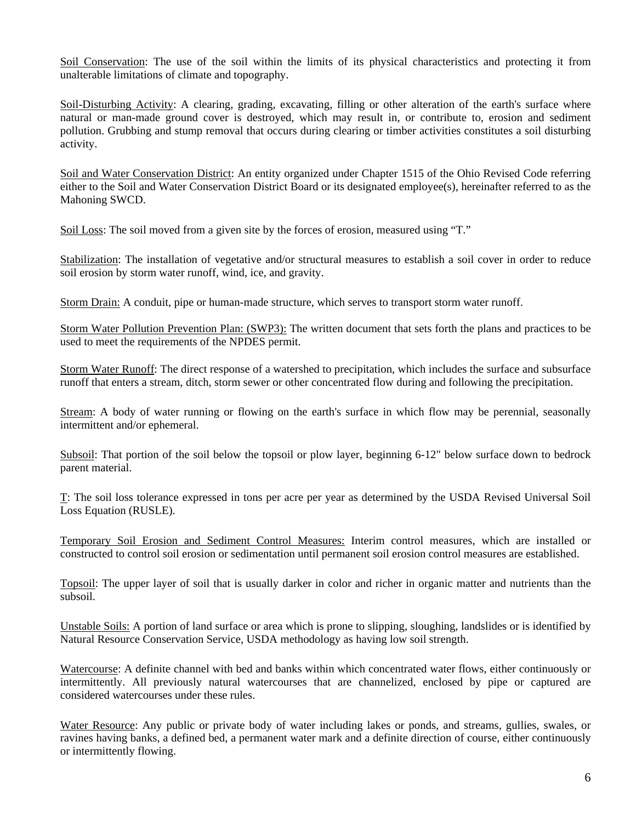Soil Conservation: The use of the soil within the limits of its physical characteristics and protecting it from unalterable limitations of climate and topography.

Soil-Disturbing Activity: A clearing, grading, excavating, filling or other alteration of the earth's surface where natural or man-made ground cover is destroyed, which may result in, or contribute to, erosion and sediment pollution. Grubbing and stump removal that occurs during clearing or timber activities constitutes a soil disturbing activity.

Soil and Water Conservation District: An entity organized under Chapter 1515 of the Ohio Revised Code referring either to the Soil and Water Conservation District Board or its designated employee(s), hereinafter referred to as the Mahoning SWCD.

Soil Loss: The soil moved from a given site by the forces of erosion, measured using "T."

Stabilization: The installation of vegetative and/or structural measures to establish a soil cover in order to reduce soil erosion by storm water runoff, wind, ice, and gravity.

Storm Drain: A conduit, pipe or human-made structure, which serves to transport storm water runoff.

Storm Water Pollution Prevention Plan: (SWP3): The written document that sets forth the plans and practices to be used to meet the requirements of the NPDES permit.

Storm Water Runoff: The direct response of a watershed to precipitation, which includes the surface and subsurface runoff that enters a stream, ditch, storm sewer or other concentrated flow during and following the precipitation.

Stream: A body of water running or flowing on the earth's surface in which flow may be perennial, seasonally intermittent and/or ephemeral.

Subsoil: That portion of the soil below the topsoil or plow layer, beginning 6-12" below surface down to bedrock parent material.

T: The soil loss tolerance expressed in tons per acre per year as determined by the USDA Revised Universal Soil Loss Equation (RUSLE).

Temporary Soil Erosion and Sediment Control Measures: Interim control measures, which are installed or constructed to control soil erosion or sedimentation until permanent soil erosion control measures are established.

Topsoil: The upper layer of soil that is usually darker in color and richer in organic matter and nutrients than the subsoil.

Unstable Soils: A portion of land surface or area which is prone to slipping, sloughing, landslides or is identified by Natural Resource Conservation Service, USDA methodology as having low soil strength.

Watercourse: A definite channel with bed and banks within which concentrated water flows, either continuously or intermittently. All previously natural watercourses that are channelized, enclosed by pipe or captured are considered watercourses under these rules.

Water Resource: Any public or private body of water including lakes or ponds, and streams, gullies, swales, or ravines having banks, a defined bed, a permanent water mark and a definite direction of course, either continuously or intermittently flowing.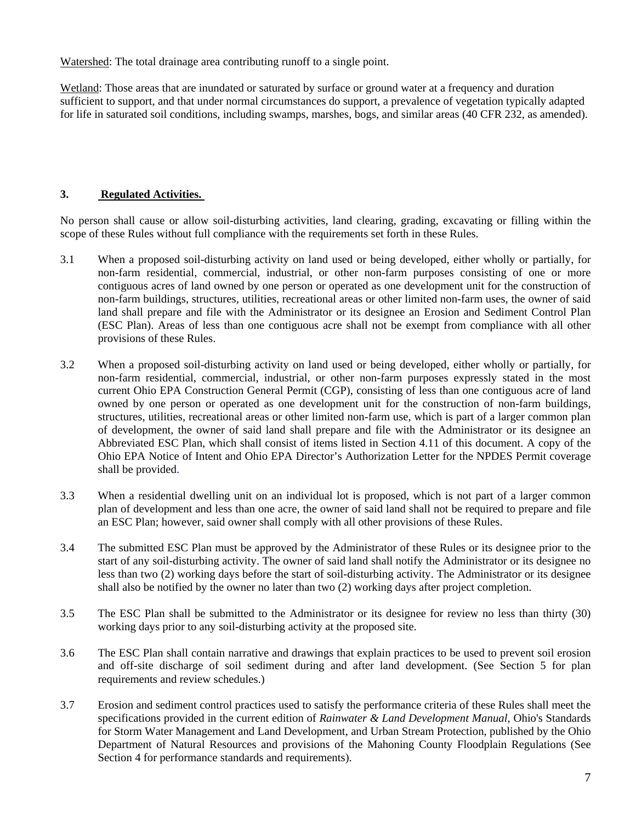Watershed: The total drainage area contributing runoff to a single point.

Wetland: Those areas that are inundated or saturated by surface or ground water at a frequency and duration sufficient to support, and that under normal circumstances do support, a prevalence of vegetation typically adapted for life in saturated soil conditions, including swamps, marshes, bogs, and similar areas (40 CFR 232, as amended).

## **3. Regulated Activities.**

No person shall cause or allow soil-disturbing activities, land clearing, grading, excavating or filling within the scope of these Rules without full compliance with the requirements set forth in these Rules.

- 3.1 When a proposed soil-disturbing activity on land used or being developed, either wholly or partially, for non-farm residential, commercial, industrial, or other non-farm purposes consisting of one or more contiguous acres of land owned by one person or operated as one development unit for the construction of non-farm buildings, structures, utilities, recreational areas or other limited non-farm uses, the owner of said land shall prepare and file with the Administrator or its designee an Erosion and Sediment Control Plan (ESC Plan). Areas of less than one contiguous acre shall not be exempt from compliance with all other provisions of these Rules.
- 3.2 When a proposed soil-disturbing activity on land used or being developed, either wholly or partially, for non-farm residential, commercial, industrial, or other non-farm purposes expressly stated in the most current Ohio EPA Construction General Permit (CGP), consisting of less than one contiguous acre of land owned by one person or operated as one development unit for the construction of non-farm buildings, structures, utilities, recreational areas or other limited non-farm use, which is part of a larger common plan of development, the owner of said land shall prepare and file with the Administrator or its designee an Abbreviated ESC Plan, which shall consist of items listed in Section 4.11 of this document. A copy of the Ohio EPA Notice of Intent and Ohio EPA Director's Authorization Letter for the NPDES Permit coverage shall be provided.
- 3.3 When a residential dwelling unit on an individual lot is proposed, which is not part of a larger common plan of development and less than one acre, the owner of said land shall not be required to prepare and file an ESC Plan; however, said owner shall comply with all other provisions of these Rules.
- 3.4 The submitted ESC Plan must be approved by the Administrator of these Rules or its designee prior to the start of any soil-disturbing activity. The owner of said land shall notify the Administrator or its designee no less than two (2) working days before the start of soil-disturbing activity. The Administrator or its designee shall also be notified by the owner no later than two (2) working days after project completion.
- 3.5 The ESC Plan shall be submitted to the Administrator or its designee for review no less than thirty (30) working days prior to any soil-disturbing activity at the proposed site.
- 3.6 The ESC Plan shall contain narrative and drawings that explain practices to be used to prevent soil erosion and off-site discharge of soil sediment during and after land development. (See Section 5 for plan requirements and review schedules.)
- 3.7 Erosion and sediment control practices used to satisfy the performance criteria of these Rules shall meet the specifications provided in the current edition of *Rainwater & Land Development Manual*, Ohio's Standards for Storm Water Management and Land Development, and Urban Stream Protection, published by the Ohio Department of Natural Resources and provisions of the Mahoning County Floodplain Regulations (See Section 4 for performance standards and requirements).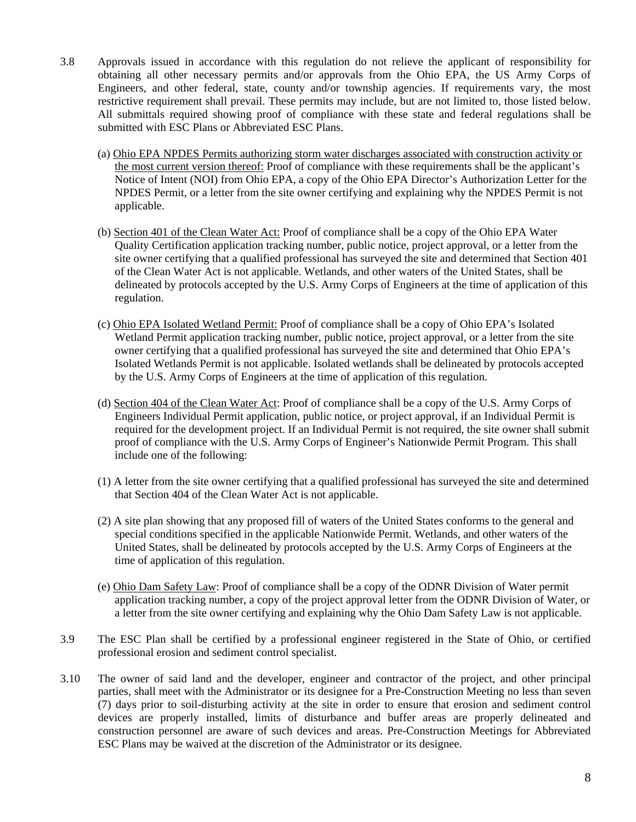- 3.8 Approvals issued in accordance with this regulation do not relieve the applicant of responsibility for obtaining all other necessary permits and/or approvals from the Ohio EPA, the US Army Corps of Engineers, and other federal, state, county and/or township agencies. If requirements vary, the most restrictive requirement shall prevail. These permits may include, but are not limited to, those listed below. All submittals required showing proof of compliance with these state and federal regulations shall be submitted with ESC Plans or Abbreviated ESC Plans.
	- (a) Ohio EPA NPDES Permits authorizing storm water discharges associated with construction activity or the most current version thereof: Proof of compliance with these requirements shall be the applicant's Notice of Intent (NOI) from Ohio EPA, a copy of the Ohio EPA Director's Authorization Letter for the NPDES Permit, or a letter from the site owner certifying and explaining why the NPDES Permit is not applicable.
	- (b) Section 401 of the Clean Water Act: Proof of compliance shall be a copy of the Ohio EPA Water Quality Certification application tracking number, public notice, project approval, or a letter from the site owner certifying that a qualified professional has surveyed the site and determined that Section 401 of the Clean Water Act is not applicable. Wetlands, and other waters of the United States, shall be delineated by protocols accepted by the U.S. Army Corps of Engineers at the time of application of this regulation.
	- (c) Ohio EPA Isolated Wetland Permit: Proof of compliance shall be a copy of Ohio EPA's Isolated Wetland Permit application tracking number, public notice, project approval, or a letter from the site owner certifying that a qualified professional has surveyed the site and determined that Ohio EPA's Isolated Wetlands Permit is not applicable. Isolated wetlands shall be delineated by protocols accepted by the U.S. Army Corps of Engineers at the time of application of this regulation.
	- (d) Section 404 of the Clean Water Act: Proof of compliance shall be a copy of the U.S. Army Corps of Engineers Individual Permit application, public notice, or project approval, if an Individual Permit is required for the development project. If an Individual Permit is not required, the site owner shall submit proof of compliance with the U.S. Army Corps of Engineer's Nationwide Permit Program. This shall include one of the following:
	- (1) A letter from the site owner certifying that a qualified professional has surveyed the site and determined that Section 404 of the Clean Water Act is not applicable.
	- (2) A site plan showing that any proposed fill of waters of the United States conforms to the general and special conditions specified in the applicable Nationwide Permit. Wetlands, and other waters of the United States, shall be delineated by protocols accepted by the U.S. Army Corps of Engineers at the time of application of this regulation.
	- (e) Ohio Dam Safety Law: Proof of compliance shall be a copy of the ODNR Division of Water permit application tracking number, a copy of the project approval letter from the ODNR Division of Water, or a letter from the site owner certifying and explaining why the Ohio Dam Safety Law is not applicable.
- 3.9 The ESC Plan shall be certified by a professional engineer registered in the State of Ohio, or certified professional erosion and sediment control specialist.
- 3.10 The owner of said land and the developer, engineer and contractor of the project, and other principal parties, shall meet with the Administrator or its designee for a Pre-Construction Meeting no less than seven (7) days prior to soil-disturbing activity at the site in order to ensure that erosion and sediment control devices are properly installed, limits of disturbance and buffer areas are properly delineated and construction personnel are aware of such devices and areas. Pre-Construction Meetings for Abbreviated ESC Plans may be waived at the discretion of the Administrator or its designee.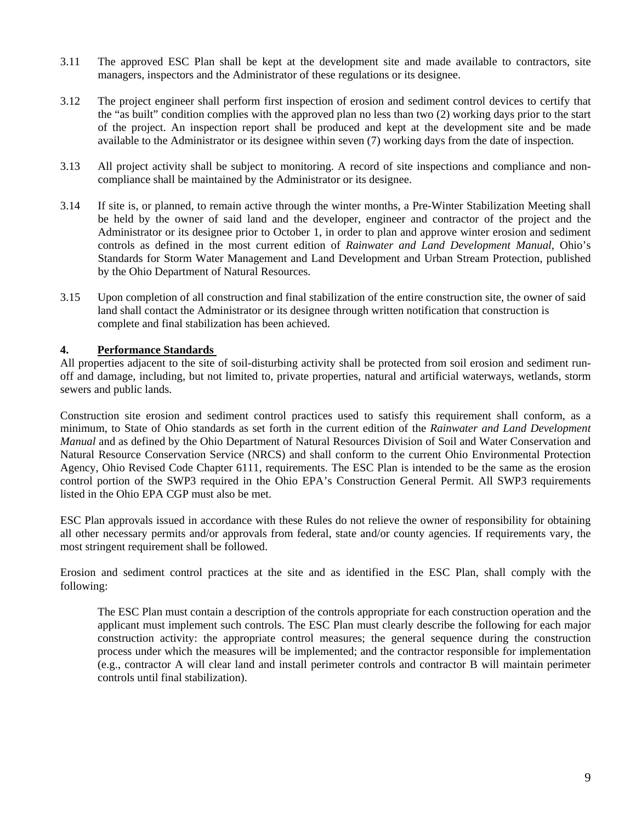- 3.11 The approved ESC Plan shall be kept at the development site and made available to contractors, site managers, inspectors and the Administrator of these regulations or its designee.
- 3.12 The project engineer shall perform first inspection of erosion and sediment control devices to certify that the "as built" condition complies with the approved plan no less than two (2) working days prior to the start of the project. An inspection report shall be produced and kept at the development site and be made available to the Administrator or its designee within seven (7) working days from the date of inspection.
- 3.13 All project activity shall be subject to monitoring. A record of site inspections and compliance and noncompliance shall be maintained by the Administrator or its designee.
- 3.14 If site is, or planned, to remain active through the winter months, a Pre-Winter Stabilization Meeting shall be held by the owner of said land and the developer, engineer and contractor of the project and the Administrator or its designee prior to October 1, in order to plan and approve winter erosion and sediment controls as defined in the most current edition of *Rainwater and Land Development Manual,* Ohio's Standards for Storm Water Management and Land Development and Urban Stream Protection, published by the Ohio Department of Natural Resources.
- 3.15 Upon completion of all construction and final stabilization of the entire construction site, the owner of said land shall contact the Administrator or its designee through written notification that construction is complete and final stabilization has been achieved.

## **4. Performance Standards**

All properties adjacent to the site of soil-disturbing activity shall be protected from soil erosion and sediment runoff and damage, including, but not limited to, private properties, natural and artificial waterways, wetlands, storm sewers and public lands.

Construction site erosion and sediment control practices used to satisfy this requirement shall conform, as a minimum, to State of Ohio standards as set forth in the current edition of the *Rainwater and Land Development Manual* and as defined by the Ohio Department of Natural Resources Division of Soil and Water Conservation and Natural Resource Conservation Service (NRCS) and shall conform to the current Ohio Environmental Protection Agency, Ohio Revised Code Chapter 6111, requirements. The ESC Plan is intended to be the same as the erosion control portion of the SWP3 required in the Ohio EPA's Construction General Permit. All SWP3 requirements listed in the Ohio EPA CGP must also be met.

ESC Plan approvals issued in accordance with these Rules do not relieve the owner of responsibility for obtaining all other necessary permits and/or approvals from federal, state and/or county agencies. If requirements vary, the most stringent requirement shall be followed.

Erosion and sediment control practices at the site and as identified in the ESC Plan, shall comply with the following:

The ESC Plan must contain a description of the controls appropriate for each construction operation and the applicant must implement such controls. The ESC Plan must clearly describe the following for each major construction activity: the appropriate control measures; the general sequence during the construction process under which the measures will be implemented; and the contractor responsible for implementation (e.g., contractor A will clear land and install perimeter controls and contractor B will maintain perimeter controls until final stabilization).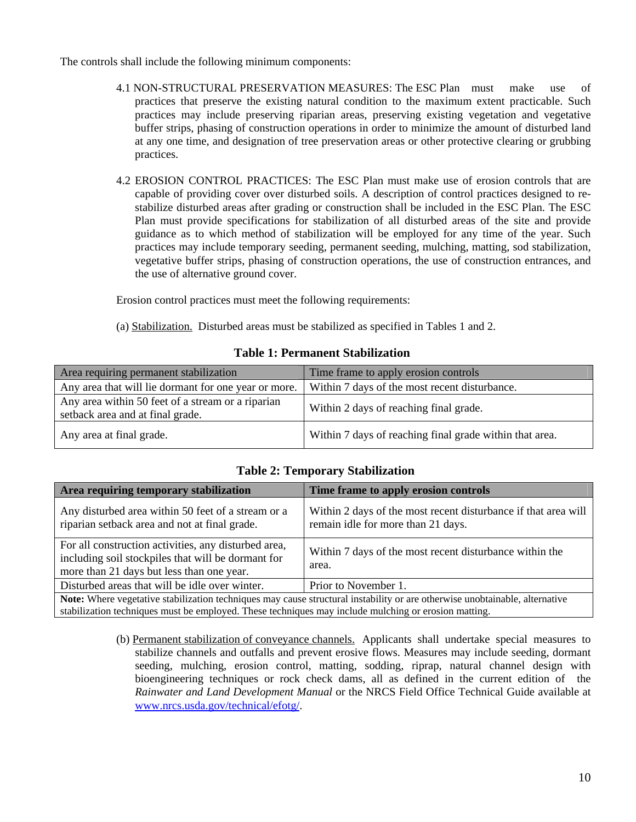The controls shall include the following minimum components:

- 4.1 NON-STRUCTURAL PRESERVATION MEASURES: The ESC Plan must make use of practices that preserve the existing natural condition to the maximum extent practicable. Such practices may include preserving riparian areas, preserving existing vegetation and vegetative buffer strips, phasing of construction operations in order to minimize the amount of disturbed land at any one time, and designation of tree preservation areas or other protective clearing or grubbing practices.
- 4.2 EROSION CONTROL PRACTICES: The ESC Plan must make use of erosion controls that are capable of providing cover over disturbed soils. A description of control practices designed to restabilize disturbed areas after grading or construction shall be included in the ESC Plan. The ESC Plan must provide specifications for stabilization of all disturbed areas of the site and provide guidance as to which method of stabilization will be employed for any time of the year. Such practices may include temporary seeding, permanent seeding, mulching, matting, sod stabilization, vegetative buffer strips, phasing of construction operations, the use of construction entrances, and the use of alternative ground cover.

Erosion control practices must meet the following requirements:

(a) Stabilization. Disturbed areas must be stabilized as specified in Tables 1 and 2.

| Area requiring permanent stabilization                                                | Time frame to apply erosion controls                    |
|---------------------------------------------------------------------------------------|---------------------------------------------------------|
| Any area that will lie dormant for one year or more.                                  | Within 7 days of the most recent disturbance.           |
| Any area within 50 feet of a stream or a riparian<br>setback area and at final grade. | Within 2 days of reaching final grade.                  |
| Any area at final grade.                                                              | Within 7 days of reaching final grade within that area. |

## **Table 1: Permanent Stabilization**

| Area requiring temporary stabilization                                                                                                                                                                                              | Time frame to apply erosion controls                                                                 |  |
|-------------------------------------------------------------------------------------------------------------------------------------------------------------------------------------------------------------------------------------|------------------------------------------------------------------------------------------------------|--|
| Any disturbed area within 50 feet of a stream or a<br>riparian setback area and not at final grade.                                                                                                                                 | Within 2 days of the most recent disturbance if that area will<br>remain idle for more than 21 days. |  |
| For all construction activities, any disturbed area,<br>including soil stockpiles that will be dormant for<br>more than 21 days but less than one year.                                                                             | Within 7 days of the most recent disturbance within the<br>area.                                     |  |
| Disturbed areas that will be idle over winter.                                                                                                                                                                                      | Prior to November 1.                                                                                 |  |
| Note: Where vegetative stabilization techniques may cause structural instability or are otherwise unobtainable, alternative<br>stabilization techniques must be employed. These techniques may include mulching or erosion matting. |                                                                                                      |  |

## **Table 2: Temporary Stabilization**

(b) Permanent stabilization of conveyance channels. Applicants shall undertake special measures to stabilize channels and outfalls and prevent erosive flows. Measures may include seeding, dormant seeding, mulching, erosion control, matting, sodding, riprap, natural channel design with bioengineering techniques or rock check dams, all as defined in the current edition of the *Rainwater and Land Development Manual* or the NRCS Field Office Technical Guide available at [www.nrcs.usda.gov/technical/efotg/.](http://www.nrcs.usda.gov/technical/efotg/)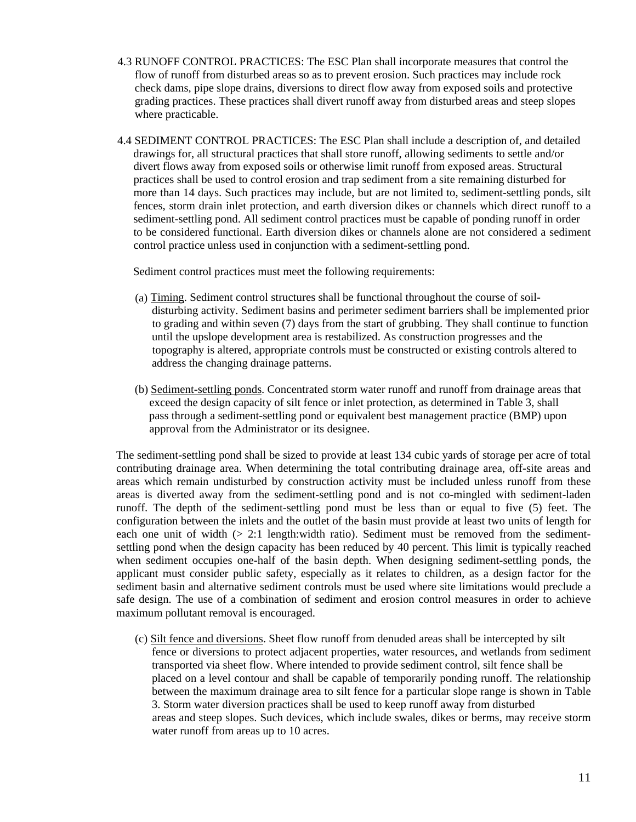- 4.3 RUNOFF CONTROL PRACTICES: The ESC Plan shall incorporate measures that control the flow of runoff from disturbed areas so as to prevent erosion. Such practices may include rock check dams, pipe slope drains, diversions to direct flow away from exposed soils and protective grading practices. These practices shall divert runoff away from disturbed areas and steep slopes where practicable.
- 4.4 SEDIMENT CONTROL PRACTICES: The ESC Plan shall include a description of, and detailed drawings for, all structural practices that shall store runoff, allowing sediments to settle and/or divert flows away from exposed soils or otherwise limit runoff from exposed areas. Structural practices shall be used to control erosion and trap sediment from a site remaining disturbed for more than 14 days. Such practices may include, but are not limited to, sediment-settling ponds, silt fences, storm drain inlet protection, and earth diversion dikes or channels which direct runoff to a sediment-settling pond. All sediment control practices must be capable of ponding runoff in order to be considered functional. Earth diversion dikes or channels alone are not considered a sediment control practice unless used in conjunction with a sediment-settling pond.

Sediment control practices must meet the following requirements:

- (a) Timing. Sediment control structures shall be functional throughout the course of soil disturbing activity. Sediment basins and perimeter sediment barriers shall be implemented prior to grading and within seven (7) days from the start of grubbing. They shall continue to function until the upslope development area is restabilized. As construction progresses and the topography is altered, appropriate controls must be constructed or existing controls altered to address the changing drainage patterns.
- (b) Sediment-settling ponds. Concentrated storm water runoff and runoff from drainage areas that exceed the design capacity of silt fence or inlet protection, as determined in Table 3, shall pass through a sediment-settling pond or equivalent best management practice (BMP) upon approval from the Administrator or its designee.

The sediment-settling pond shall be sized to provide at least 134 cubic yards of storage per acre of total contributing drainage area. When determining the total contributing drainage area, off-site areas and areas which remain undisturbed by construction activity must be included unless runoff from these areas is diverted away from the sediment-settling pond and is not co-mingled with sediment-laden runoff. The depth of the sediment-settling pond must be less than or equal to five (5) feet. The configuration between the inlets and the outlet of the basin must provide at least two units of length for each one unit of width  $(> 2.1$  length: width ratio). Sediment must be removed from the sedimentsettling pond when the design capacity has been reduced by 40 percent. This limit is typically reached when sediment occupies one-half of the basin depth. When designing sediment-settling ponds, the applicant must consider public safety, especially as it relates to children, as a design factor for the sediment basin and alternative sediment controls must be used where site limitations would preclude a safe design. The use of a combination of sediment and erosion control measures in order to achieve maximum pollutant removal is encouraged.

 (c) Silt fence and diversions. Sheet flow runoff from denuded areas shall be intercepted by silt fence or diversions to protect adjacent properties, water resources, and wetlands from sediment transported via sheet flow. Where intended to provide sediment control, silt fence shall be placed on a level contour and shall be capable of temporarily ponding runoff. The relationship between the maximum drainage area to silt fence for a particular slope range is shown in Table 3. Storm water diversion practices shall be used to keep runoff away from disturbed areas and steep slopes. Such devices, which include swales, dikes or berms, may receive storm water runoff from areas up to 10 acres.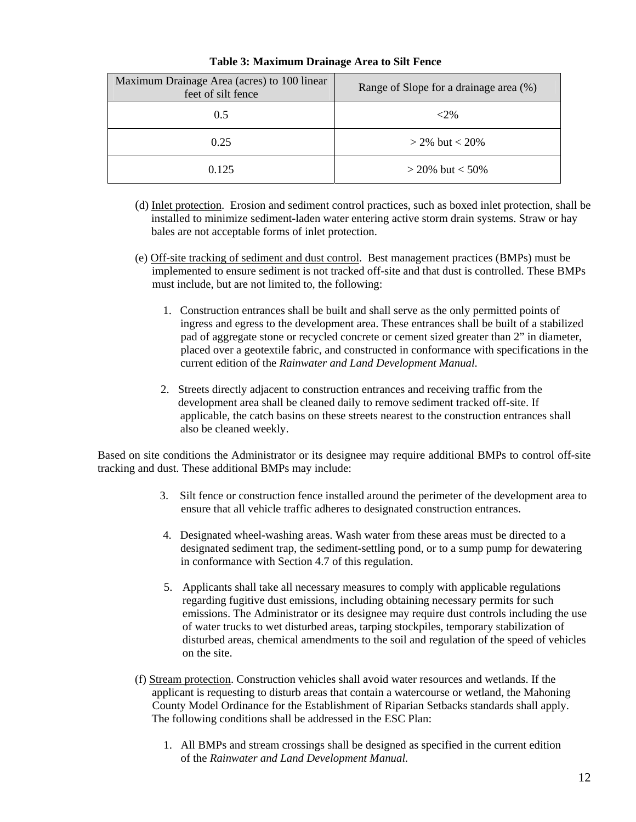| Maximum Drainage Area (acres) to 100 linear<br>feet of silt fence | Range of Slope for a drainage area (%) |
|-------------------------------------------------------------------|----------------------------------------|
| 0.5                                                               | $<2\%$                                 |
| 0.25                                                              | $>$ 2% but $<$ 20%                     |
| 0.125                                                             | $>$ 20% but $<$ 50%                    |

#### **Table 3: Maximum Drainage Area to Silt Fence**

- (d) Inlet protection. Erosion and sediment control practices, such as boxed inlet protection, shall be installed to minimize sediment-laden water entering active storm drain systems. Straw or hay bales are not acceptable forms of inlet protection.
- (e) Off-site tracking of sediment and dust control. Best management practices (BMPs) must be implemented to ensure sediment is not tracked off-site and that dust is controlled. These BMPs must include, but are not limited to, the following:
	- 1. Construction entrances shall be built and shall serve as the only permitted points of ingress and egress to the development area. These entrances shall be built of a stabilized pad of aggregate stone or recycled concrete or cement sized greater than 2" in diameter, placed over a geotextile fabric, and constructed in conformance with specifications in the current edition of the *Rainwater and Land Development Manual.*
	- 2. Streets directly adjacent to construction entrances and receiving traffic from the development area shall be cleaned daily to remove sediment tracked off-site. If applicable, the catch basins on these streets nearest to the construction entrances shall also be cleaned weekly.

Based on site conditions the Administrator or its designee may require additional BMPs to control off-site tracking and dust. These additional BMPs may include:

- 3. Silt fence or construction fence installed around the perimeter of the development area to ensure that all vehicle traffic adheres to designated construction entrances.
- 4. Designated wheel-washing areas. Wash water from these areas must be directed to a designated sediment trap, the sediment-settling pond, or to a sump pump for dewatering in conformance with Section 4.7 of this regulation.
- 5. Applicants shall take all necessary measures to comply with applicable regulations regarding fugitive dust emissions, including obtaining necessary permits for such emissions. The Administrator or its designee may require dust controls including the use of water trucks to wet disturbed areas, tarping stockpiles, temporary stabilization of disturbed areas, chemical amendments to the soil and regulation of the speed of vehicles on the site.
- (f) Stream protection. Construction vehicles shall avoid water resources and wetlands. If the applicant is requesting to disturb areas that contain a watercourse or wetland, the Mahoning County Model Ordinance for the Establishment of Riparian Setbacks standards shall apply. The following conditions shall be addressed in the ESC Plan:
	- 1. All BMPs and stream crossings shall be designed as specified in the current edition of the *Rainwater and Land Development Manual.*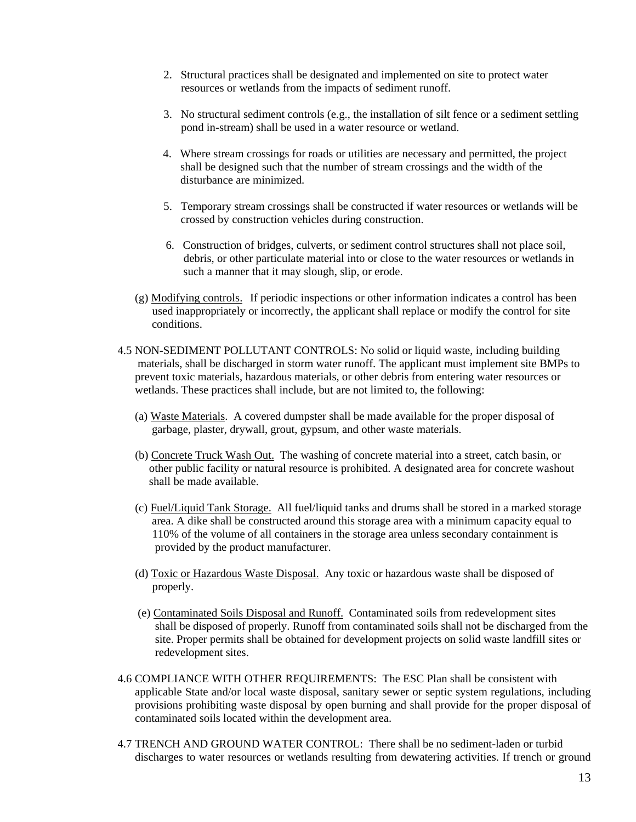- 2. Structural practices shall be designated and implemented on site to protect water resources or wetlands from the impacts of sediment runoff.
- 3. No structural sediment controls (e.g., the installation of silt fence or a sediment settling pond in-stream) shall be used in a water resource or wetland.
- 4. Where stream crossings for roads or utilities are necessary and permitted, the project shall be designed such that the number of stream crossings and the width of the disturbance are minimized.
- 5. Temporary stream crossings shall be constructed if water resources or wetlands will be crossed by construction vehicles during construction.
- 6. Construction of bridges, culverts, or sediment control structures shall not place soil, debris, or other particulate material into or close to the water resources or wetlands in such a manner that it may slough, slip, or erode.
- (g) Modifying controls. If periodic inspections or other information indicates a control has been used inappropriately or incorrectly, the applicant shall replace or modify the control for site conditions.
- 4.5 NON-SEDIMENT POLLUTANT CONTROLS: No solid or liquid waste, including building materials, shall be discharged in storm water runoff. The applicant must implement site BMPs to prevent toxic materials, hazardous materials, or other debris from entering water resources or wetlands. These practices shall include, but are not limited to, the following:
	- (a) Waste Materials. A covered dumpster shall be made available for the proper disposal of garbage, plaster, drywall, grout, gypsum, and other waste materials.
	- (b) Concrete Truck Wash Out. The washing of concrete material into a street, catch basin, or other public facility or natural resource is prohibited. A designated area for concrete washout shall be made available.
	- (c) Fuel/Liquid Tank Storage. All fuel/liquid tanks and drums shall be stored in a marked storage area. A dike shall be constructed around this storage area with a minimum capacity equal to 110% of the volume of all containers in the storage area unless secondary containment is provided by the product manufacturer.
	- (d) Toxic or Hazardous Waste Disposal. Any toxic or hazardous waste shall be disposed of properly.
	- (e) Contaminated Soils Disposal and Runoff. Contaminated soils from redevelopment sites shall be disposed of properly. Runoff from contaminated soils shall not be discharged from the site. Proper permits shall be obtained for development projects on solid waste landfill sites or redevelopment sites.
- 4.6 COMPLIANCE WITH OTHER REQUIREMENTS: The ESC Plan shall be consistent with applicable State and/or local waste disposal, sanitary sewer or septic system regulations, including provisions prohibiting waste disposal by open burning and shall provide for the proper disposal of contaminated soils located within the development area.
- 4.7 TRENCH AND GROUND WATER CONTROL: There shall be no sediment-laden or turbid discharges to water resources or wetlands resulting from dewatering activities. If trench or ground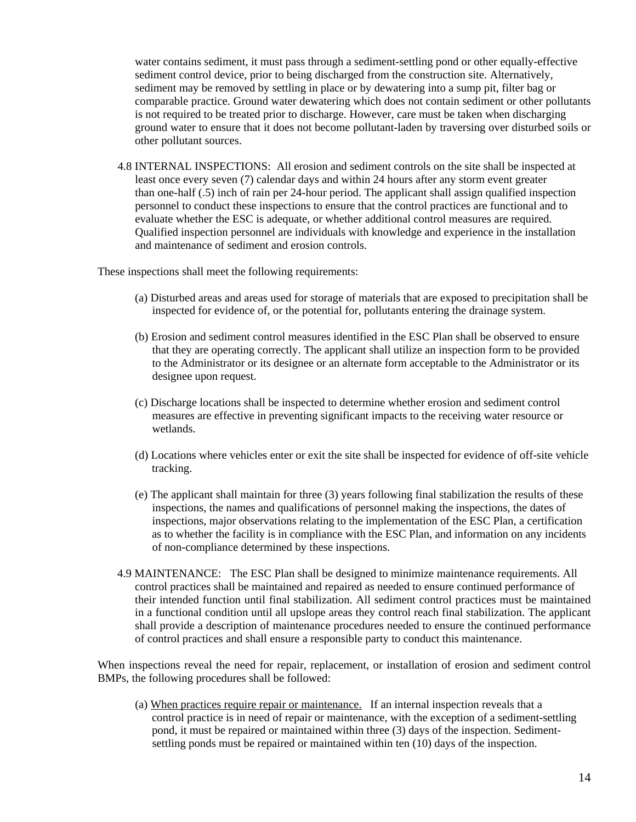water contains sediment, it must pass through a sediment-settling pond or other equally-effective sediment control device, prior to being discharged from the construction site. Alternatively, sediment may be removed by settling in place or by dewatering into a sump pit, filter bag or comparable practice. Ground water dewatering which does not contain sediment or other pollutants is not required to be treated prior to discharge. However, care must be taken when discharging ground water to ensure that it does not become pollutant-laden by traversing over disturbed soils or other pollutant sources.

 4.8 INTERNAL INSPECTIONS: All erosion and sediment controls on the site shall be inspected at least once every seven (7) calendar days and within 24 hours after any storm event greater than one-half (.5) inch of rain per 24-hour period. The applicant shall assign qualified inspection personnel to conduct these inspections to ensure that the control practices are functional and to evaluate whether the ESC is adequate, or whether additional control measures are required. Qualified inspection personnel are individuals with knowledge and experience in the installation and maintenance of sediment and erosion controls.

These inspections shall meet the following requirements:

- (a) Disturbed areas and areas used for storage of materials that are exposed to precipitation shall be inspected for evidence of, or the potential for, pollutants entering the drainage system.
- (b) Erosion and sediment control measures identified in the ESC Plan shall be observed to ensure that they are operating correctly. The applicant shall utilize an inspection form to be provided to the Administrator or its designee or an alternate form acceptable to the Administrator or its designee upon request.
- (c) Discharge locations shall be inspected to determine whether erosion and sediment control measures are effective in preventing significant impacts to the receiving water resource or wetlands.
- (d) Locations where vehicles enter or exit the site shall be inspected for evidence of off-site vehicle tracking.
- (e) The applicant shall maintain for three (3) years following final stabilization the results of these inspections, the names and qualifications of personnel making the inspections, the dates of inspections, major observations relating to the implementation of the ESC Plan, a certification as to whether the facility is in compliance with the ESC Plan, and information on any incidents of non-compliance determined by these inspections.
- 4.9 MAINTENANCE: The ESC Plan shall be designed to minimize maintenance requirements. All control practices shall be maintained and repaired as needed to ensure continued performance of their intended function until final stabilization. All sediment control practices must be maintained in a functional condition until all upslope areas they control reach final stabilization. The applicant shall provide a description of maintenance procedures needed to ensure the continued performance of control practices and shall ensure a responsible party to conduct this maintenance.

 When inspections reveal the need for repair, replacement, or installation of erosion and sediment control BMPs, the following procedures shall be followed:

 (a) When practices require repair or maintenance. If an internal inspection reveals that a control practice is in need of repair or maintenance, with the exception of a sediment-settling pond, it must be repaired or maintained within three (3) days of the inspection. Sediment settling ponds must be repaired or maintained within ten (10) days of the inspection.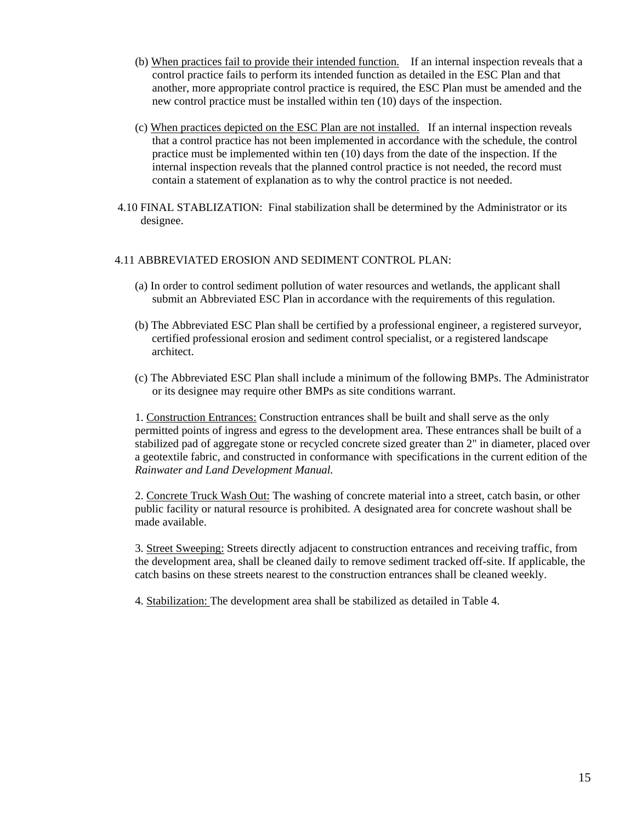- (b) When practices fail to provide their intended function. If an internal inspection reveals that a control practice fails to perform its intended function as detailed in the ESC Plan and that another, more appropriate control practice is required, the ESC Plan must be amended and the new control practice must be installed within ten (10) days of the inspection.
- (c) When practices depicted on the ESC Plan are not installed. If an internal inspection reveals that a control practice has not been implemented in accordance with the schedule, the control practice must be implemented within ten (10) days from the date of the inspection. If the internal inspection reveals that the planned control practice is not needed, the record must contain a statement of explanation as to why the control practice is not needed.
- 4.10 FINAL STABLIZATION: Final stabilization shall be determined by the Administrator or its designee.

#### 4.11 ABBREVIATED EROSION AND SEDIMENT CONTROL PLAN:

- (a) In order to control sediment pollution of water resources and wetlands, the applicant shall submit an Abbreviated ESC Plan in accordance with the requirements of this regulation.
- (b) The Abbreviated ESC Plan shall be certified by a professional engineer, a registered surveyor, certified professional erosion and sediment control specialist, or a registered landscape architect.
- (c) The Abbreviated ESC Plan shall include a minimum of the following BMPs. The Administrator or its designee may require other BMPs as site conditions warrant.

1. Construction Entrances: Construction entrances shall be built and shall serve as the only permitted points of ingress and egress to the development area. These entrances shall be built of a stabilized pad of aggregate stone or recycled concrete sized greater than 2" in diameter, placed over a geotextile fabric, and constructed in conformance with specifications in the current edition of the *Rainwater and Land Development Manual.* 

 2. Concrete Truck Wash Out: The washing of concrete material into a street, catch basin, or other public facility or natural resource is prohibited. A designated area for concrete washout shall be made available.

 3. Street Sweeping: Streets directly adjacent to construction entrances and receiving traffic, from the development area, shall be cleaned daily to remove sediment tracked off-site. If applicable, the catch basins on these streets nearest to the construction entrances shall be cleaned weekly.

4. Stabilization: The development area shall be stabilized as detailed in Table 4.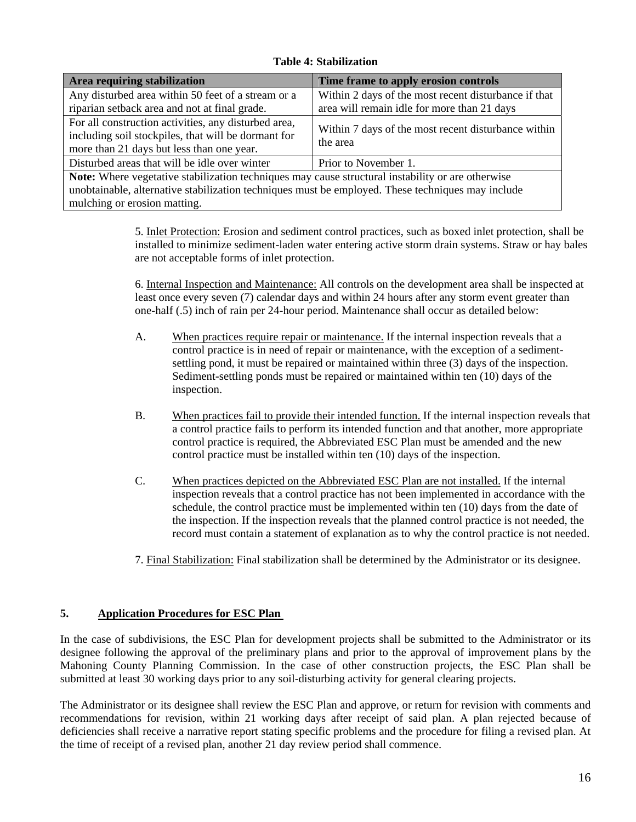## **Table 4: Stabilization**

| Area requiring stabilization                                                                                                                                                                                                                  | Time frame to apply erosion controls                            |  |
|-----------------------------------------------------------------------------------------------------------------------------------------------------------------------------------------------------------------------------------------------|-----------------------------------------------------------------|--|
| Any disturbed area within 50 feet of a stream or a                                                                                                                                                                                            | Within 2 days of the most recent disturbance if that            |  |
| riparian setback area and not at final grade.                                                                                                                                                                                                 | area will remain idle for more than 21 days                     |  |
| For all construction activities, any disturbed area,<br>including soil stockpiles, that will be dormant for<br>more than 21 days but less than one year.                                                                                      | Within 7 days of the most recent disturbance within<br>the area |  |
| Disturbed areas that will be idle over winter                                                                                                                                                                                                 | Prior to November 1.                                            |  |
| <b>Note:</b> Where vegetative stabilization techniques may cause structural instability or are otherwise<br>unobtainable, alternative stabilization techniques must be employed. These techniques may include<br>mulching or erosion matting. |                                                                 |  |

 5. Inlet Protection: Erosion and sediment control practices, such as boxed inlet protection, shall be installed to minimize sediment-laden water entering active storm drain systems. Straw or hay bales are not acceptable forms of inlet protection.

 6. Internal Inspection and Maintenance: All controls on the development area shall be inspected at least once every seven (7) calendar days and within 24 hours after any storm event greater than one-half (.5) inch of rain per 24-hour period. Maintenance shall occur as detailed below:

- A. When practices require repair or maintenance. If the internal inspection reveals that a control practice is in need of repair or maintenance, with the exception of a sediment settling pond, it must be repaired or maintained within three (3) days of the inspection. Sediment-settling ponds must be repaired or maintained within ten (10) days of the inspection.
- B. When practices fail to provide their intended function. If the internal inspection reveals that a control practice fails to perform its intended function and that another, more appropriate control practice is required, the Abbreviated ESC Plan must be amended and the new control practice must be installed within ten (10) days of the inspection.
- C. When practices depicted on the Abbreviated ESC Plan are not installed. If the internal inspection reveals that a control practice has not been implemented in accordance with the schedule, the control practice must be implemented within ten (10) days from the date of the inspection. If the inspection reveals that the planned control practice is not needed, the record must contain a statement of explanation as to why the control practice is not needed.
- 7. Final Stabilization: Final stabilization shall be determined by the Administrator or its designee.

## **5. Application Procedures for ESC Plan**

In the case of subdivisions, the ESC Plan for development projects shall be submitted to the Administrator or its designee following the approval of the preliminary plans and prior to the approval of improvement plans by the Mahoning County Planning Commission. In the case of other construction projects, the ESC Plan shall be submitted at least 30 working days prior to any soil-disturbing activity for general clearing projects.

The Administrator or its designee shall review the ESC Plan and approve, or return for revision with comments and recommendations for revision, within 21 working days after receipt of said plan. A plan rejected because of deficiencies shall receive a narrative report stating specific problems and the procedure for filing a revised plan. At the time of receipt of a revised plan, another 21 day review period shall commence.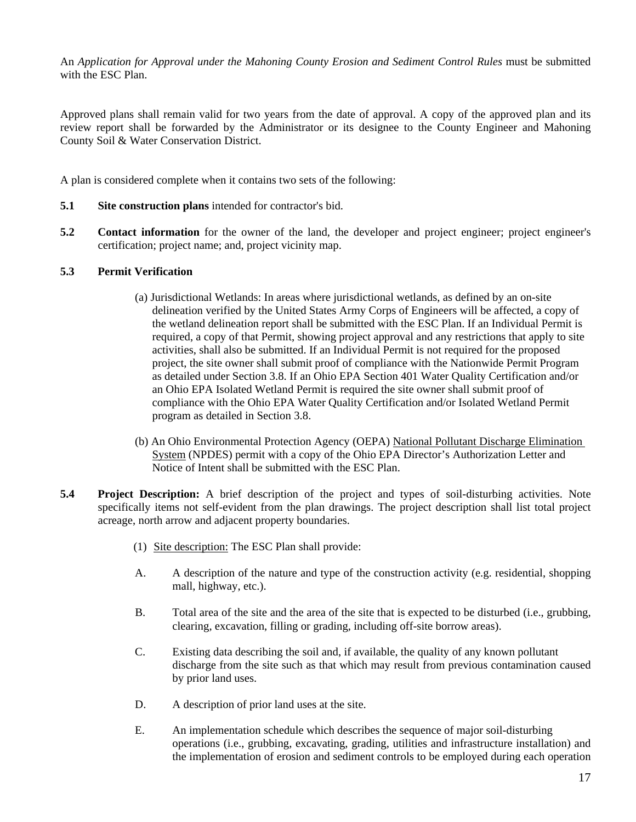An *Application for Approval under the Mahoning County Erosion and Sediment Control Rules* must be submitted with the ESC Plan.

Approved plans shall remain valid for two years from the date of approval. A copy of the approved plan and its review report shall be forwarded by the Administrator or its designee to the County Engineer and Mahoning County Soil & Water Conservation District.

A plan is considered complete when it contains two sets of the following:

- **5.1 Site construction plans** intended for contractor's bid.
- **5.2 Contact information** for the owner of the land, the developer and project engineer; project engineer's certification; project name; and, project vicinity map.

## **5.3 Permit Verification**

- (a) Jurisdictional Wetlands: In areas where jurisdictional wetlands, as defined by an on-site delineation verified by the United States Army Corps of Engineers will be affected, a copy of the wetland delineation report shall be submitted with the ESC Plan. If an Individual Permit is required, a copy of that Permit, showing project approval and any restrictions that apply to site activities, shall also be submitted. If an Individual Permit is not required for the proposed project, the site owner shall submit proof of compliance with the Nationwide Permit Program as detailed under Section 3.8. If an Ohio EPA Section 401 Water Quality Certification and/or an Ohio EPA Isolated Wetland Permit is required the site owner shall submit proof of compliance with the Ohio EPA Water Quality Certification and/or Isolated Wetland Permit program as detailed in Section 3.8.
- (b) An Ohio Environmental Protection Agency (OEPA) National Pollutant Discharge Elimination System (NPDES) permit with a copy of the Ohio EPA Director's Authorization Letter and Notice of Intent shall be submitted with the ESC Plan.
- **5.4 Project Description:** A brief description of the project and types of soil-disturbing activities. Note specifically items not self-evident from the plan drawings. The project description shall list total project acreage, north arrow and adjacent property boundaries.
	- (1) Site description: The ESC Plan shall provide:
	- A. A description of the nature and type of the construction activity (e.g. residential, shopping mall, highway, etc.).
	- B. Total area of the site and the area of the site that is expected to be disturbed (i.e., grubbing, clearing, excavation, filling or grading, including off-site borrow areas).
	- C. Existing data describing the soil and, if available, the quality of any known pollutant discharge from the site such as that which may result from previous contamination caused by prior land uses.
	- D. A description of prior land uses at the site.
	- E. An implementation schedule which describes the sequence of major soil-disturbing operations (i.e., grubbing, excavating, grading, utilities and infrastructure installation) and the implementation of erosion and sediment controls to be employed during each operation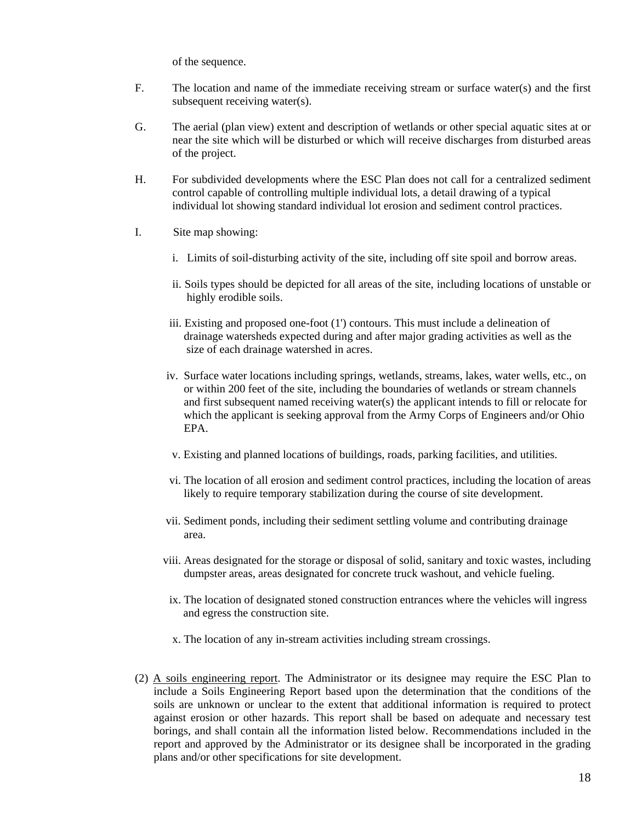of the sequence.

- F. The location and name of the immediate receiving stream or surface water(s) and the first subsequent receiving water(s).
- G. The aerial (plan view) extent and description of wetlands or other special aquatic sites at or near the site which will be disturbed or which will receive discharges from disturbed areas of the project.
- H. For subdivided developments where the ESC Plan does not call for a centralized sediment control capable of controlling multiple individual lots, a detail drawing of a typical individual lot showing standard individual lot erosion and sediment control practices.
- I. Site map showing:
	- i. Limits of soil-disturbing activity of the site, including off site spoil and borrow areas.
	- ii. Soils types should be depicted for all areas of the site, including locations of unstable or highly erodible soils.
	- iii. Existing and proposed one-foot (1') contours. This must include a delineation of drainage watersheds expected during and after major grading activities as well as the size of each drainage watershed in acres.
	- iv. Surface water locations including springs, wetlands, streams, lakes, water wells, etc., on or within 200 feet of the site, including the boundaries of wetlands or stream channels and first subsequent named receiving water(s) the applicant intends to fill or relocate for which the applicant is seeking approval from the Army Corps of Engineers and/or Ohio EPA.
	- v. Existing and planned locations of buildings, roads, parking facilities, and utilities.
	- vi. The location of all erosion and sediment control practices, including the location of areas likely to require temporary stabilization during the course of site development.
	- vii. Sediment ponds, including their sediment settling volume and contributing drainage area.
	- viii. Areas designated for the storage or disposal of solid, sanitary and toxic wastes, including dumpster areas, areas designated for concrete truck washout, and vehicle fueling.
	- ix. The location of designated stoned construction entrances where the vehicles will ingress and egress the construction site.
	- x. The location of any in-stream activities including stream crossings.
- (2) A soils engineering report. The Administrator or its designee may require the ESC Plan to include a Soils Engineering Report based upon the determination that the conditions of the soils are unknown or unclear to the extent that additional information is required to protect against erosion or other hazards. This report shall be based on adequate and necessary test borings, and shall contain all the information listed below. Recommendations included in the report and approved by the Administrator or its designee shall be incorporated in the grading plans and/or other specifications for site development.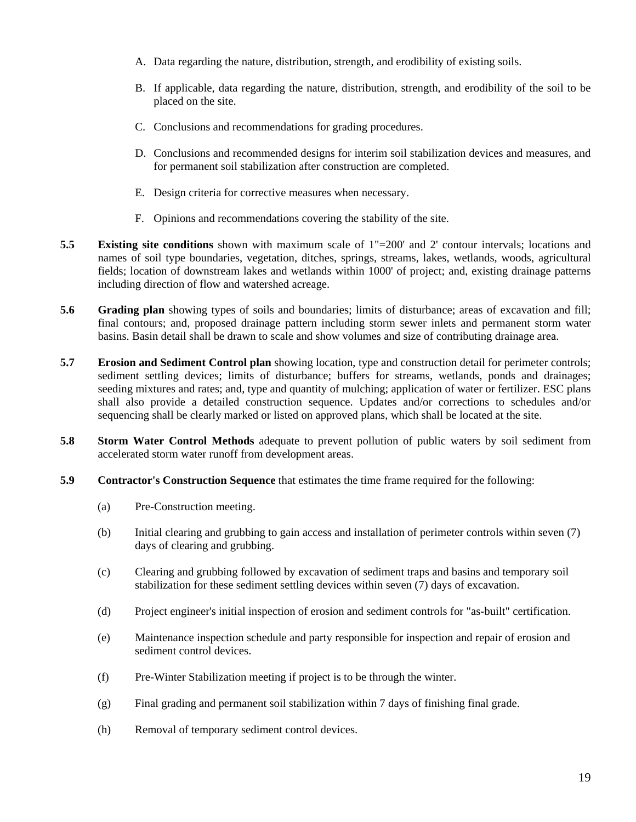- A. Data regarding the nature, distribution, strength, and erodibility of existing soils.
- B. If applicable, data regarding the nature, distribution, strength, and erodibility of the soil to be placed on the site.
- C. Conclusions and recommendations for grading procedures.
- D. Conclusions and recommended designs for interim soil stabilization devices and measures, and for permanent soil stabilization after construction are completed.
- E. Design criteria for corrective measures when necessary.
- F. Opinions and recommendations covering the stability of the site.
- **5.5 Existing site conditions** shown with maximum scale of 1"=200' and 2' contour intervals; locations and names of soil type boundaries, vegetation, ditches, springs, streams, lakes, wetlands, woods, agricultural fields; location of downstream lakes and wetlands within 1000' of project; and, existing drainage patterns including direction of flow and watershed acreage.
- **5.6 Grading plan** showing types of soils and boundaries; limits of disturbance; areas of excavation and fill; final contours; and, proposed drainage pattern including storm sewer inlets and permanent storm water basins. Basin detail shall be drawn to scale and show volumes and size of contributing drainage area.
- **5.7 Erosion and Sediment Control plan** showing location, type and construction detail for perimeter controls; sediment settling devices; limits of disturbance; buffers for streams, wetlands, ponds and drainages; seeding mixtures and rates; and, type and quantity of mulching; application of water or fertilizer. ESC plans shall also provide a detailed construction sequence. Updates and/or corrections to schedules and/or sequencing shall be clearly marked or listed on approved plans, which shall be located at the site.
- **5.8 Storm Water Control Methods** adequate to prevent pollution of public waters by soil sediment from accelerated storm water runoff from development areas.
- **5.9 Contractor's Construction Sequence** that estimates the time frame required for the following:
	- (a) Pre-Construction meeting.
	- (b) Initial clearing and grubbing to gain access and installation of perimeter controls within seven (7) days of clearing and grubbing.
	- (c) Clearing and grubbing followed by excavation of sediment traps and basins and temporary soil stabilization for these sediment settling devices within seven (7) days of excavation.
	- (d) Project engineer's initial inspection of erosion and sediment controls for "as-built" certification.
	- (e) Maintenance inspection schedule and party responsible for inspection and repair of erosion and sediment control devices.
	- (f) Pre-Winter Stabilization meeting if project is to be through the winter.
	- (g) Final grading and permanent soil stabilization within 7 days of finishing final grade.
	- (h) Removal of temporary sediment control devices.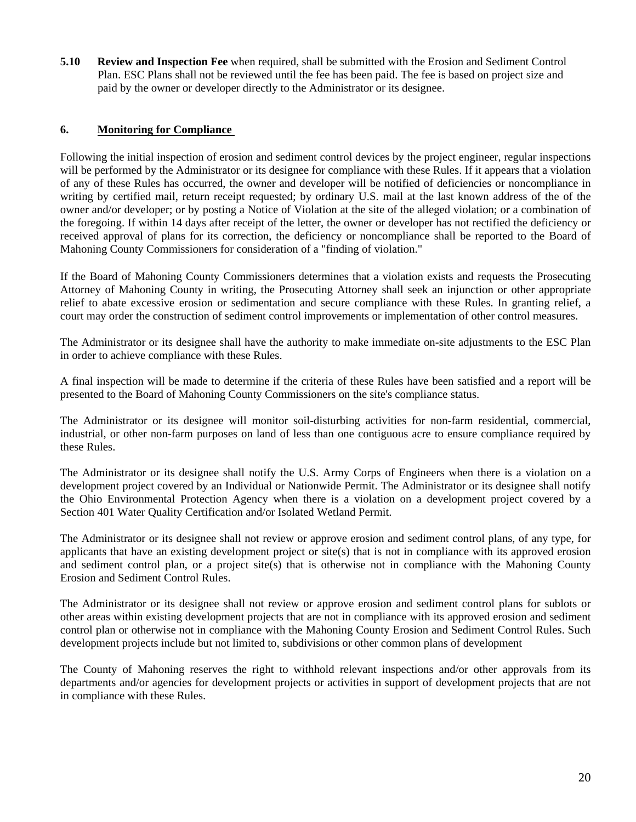**5.10 Review and Inspection Fee** when required, shall be submitted with the Erosion and Sediment Control Plan. ESC Plans shall not be reviewed until the fee has been paid. The fee is based on project size and paid by the owner or developer directly to the Administrator or its designee.

## **6. Monitoring for Compliance**

Following the initial inspection of erosion and sediment control devices by the project engineer, regular inspections will be performed by the Administrator or its designee for compliance with these Rules. If it appears that a violation of any of these Rules has occurred, the owner and developer will be notified of deficiencies or noncompliance in writing by certified mail, return receipt requested; by ordinary U.S. mail at the last known address of the of the owner and/or developer; or by posting a Notice of Violation at the site of the alleged violation; or a combination of the foregoing. If within 14 days after receipt of the letter, the owner or developer has not rectified the deficiency or received approval of plans for its correction, the deficiency or noncompliance shall be reported to the Board of Mahoning County Commissioners for consideration of a "finding of violation."

If the Board of Mahoning County Commissioners determines that a violation exists and requests the Prosecuting Attorney of Mahoning County in writing, the Prosecuting Attorney shall seek an injunction or other appropriate relief to abate excessive erosion or sedimentation and secure compliance with these Rules. In granting relief, a court may order the construction of sediment control improvements or implementation of other control measures.

The Administrator or its designee shall have the authority to make immediate on-site adjustments to the ESC Plan in order to achieve compliance with these Rules.

A final inspection will be made to determine if the criteria of these Rules have been satisfied and a report will be presented to the Board of Mahoning County Commissioners on the site's compliance status.

The Administrator or its designee will monitor soil-disturbing activities for non-farm residential, commercial, industrial, or other non-farm purposes on land of less than one contiguous acre to ensure compliance required by these Rules.

The Administrator or its designee shall notify the U.S. Army Corps of Engineers when there is a violation on a development project covered by an Individual or Nationwide Permit. The Administrator or its designee shall notify the Ohio Environmental Protection Agency when there is a violation on a development project covered by a Section 401 Water Quality Certification and/or Isolated Wetland Permit.

The Administrator or its designee shall not review or approve erosion and sediment control plans, of any type, for applicants that have an existing development project or site(s) that is not in compliance with its approved erosion and sediment control plan, or a project site(s) that is otherwise not in compliance with the Mahoning County Erosion and Sediment Control Rules.

The Administrator or its designee shall not review or approve erosion and sediment control plans for sublots or other areas within existing development projects that are not in compliance with its approved erosion and sediment control plan or otherwise not in compliance with the Mahoning County Erosion and Sediment Control Rules. Such development projects include but not limited to, subdivisions or other common plans of development

The County of Mahoning reserves the right to withhold relevant inspections and/or other approvals from its departments and/or agencies for development projects or activities in support of development projects that are not in compliance with these Rules.